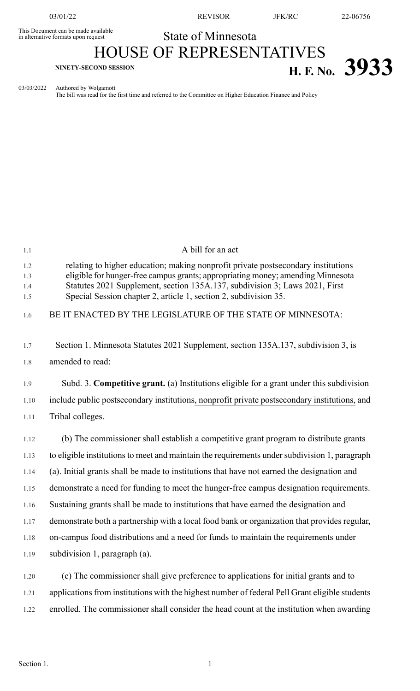This Document can be made available<br>in alternative formats upon request

03/01/22 REVISOR JFK/RC 22-06756

## State of Minnesota

## HOUSE OF REPRESENTATIVES **H. F. No.** 3933

03/03/2022 Authored by Wolgamott

The bill was read for the first time and referred to the Committee on Higher Education Finance and Policy

| 1.1                      | A bill for an act                                                                                                                                                                                                                                                                                                       |
|--------------------------|-------------------------------------------------------------------------------------------------------------------------------------------------------------------------------------------------------------------------------------------------------------------------------------------------------------------------|
| 1.2<br>1.3<br>1.4<br>1.5 | relating to higher education; making nonprofit private postsecondary institutions<br>eligible for hunger-free campus grants; appropriating money; amending Minnesota<br>Statutes 2021 Supplement, section 135A.137, subdivision 3; Laws 2021, First<br>Special Session chapter 2, article 1, section 2, subdivision 35. |
| 1.6                      | BE IT ENACTED BY THE LEGISLATURE OF THE STATE OF MINNESOTA:                                                                                                                                                                                                                                                             |
| 1.7<br>1.8               | Section 1. Minnesota Statutes 2021 Supplement, section 135A.137, subdivision 3, is<br>amended to read:                                                                                                                                                                                                                  |
| 1.9                      | Subd. 3. <b>Competitive grant.</b> (a) Institutions eligible for a grant under this subdivision                                                                                                                                                                                                                         |
| 1.10                     | include public postsecondary institutions, nonprofit private postsecondary institutions, and                                                                                                                                                                                                                            |
| 1.11                     | Tribal colleges.                                                                                                                                                                                                                                                                                                        |
| 1.12                     | (b) The commissioner shall establish a competitive grant program to distribute grants                                                                                                                                                                                                                                   |
| 1.13                     | to eligible institutions to meet and maintain the requirements under subdivision 1, paragraph                                                                                                                                                                                                                           |
| 1.14                     | (a). Initial grants shall be made to institutions that have not earned the designation and                                                                                                                                                                                                                              |
| 1.15                     | demonstrate a need for funding to meet the hunger-free campus designation requirements.                                                                                                                                                                                                                                 |
| 1.16                     | Sustaining grants shall be made to institutions that have earned the designation and                                                                                                                                                                                                                                    |
| 1.17                     | demonstrate both a partnership with a local food bank or organization that provides regular,                                                                                                                                                                                                                            |
| 1.18                     | on-campus food distributions and a need for funds to maintain the requirements under                                                                                                                                                                                                                                    |
| 1.19                     | subdivision 1, paragraph (a).                                                                                                                                                                                                                                                                                           |
| 1.20                     | (c) The commissioner shall give preference to applications for initial grants and to                                                                                                                                                                                                                                    |
| 1.21                     | applications from institutions with the highest number of federal Pell Grant eligible students                                                                                                                                                                                                                          |
| 1.22                     | enrolled. The commissioner shall consider the head count at the institution when awarding                                                                                                                                                                                                                               |